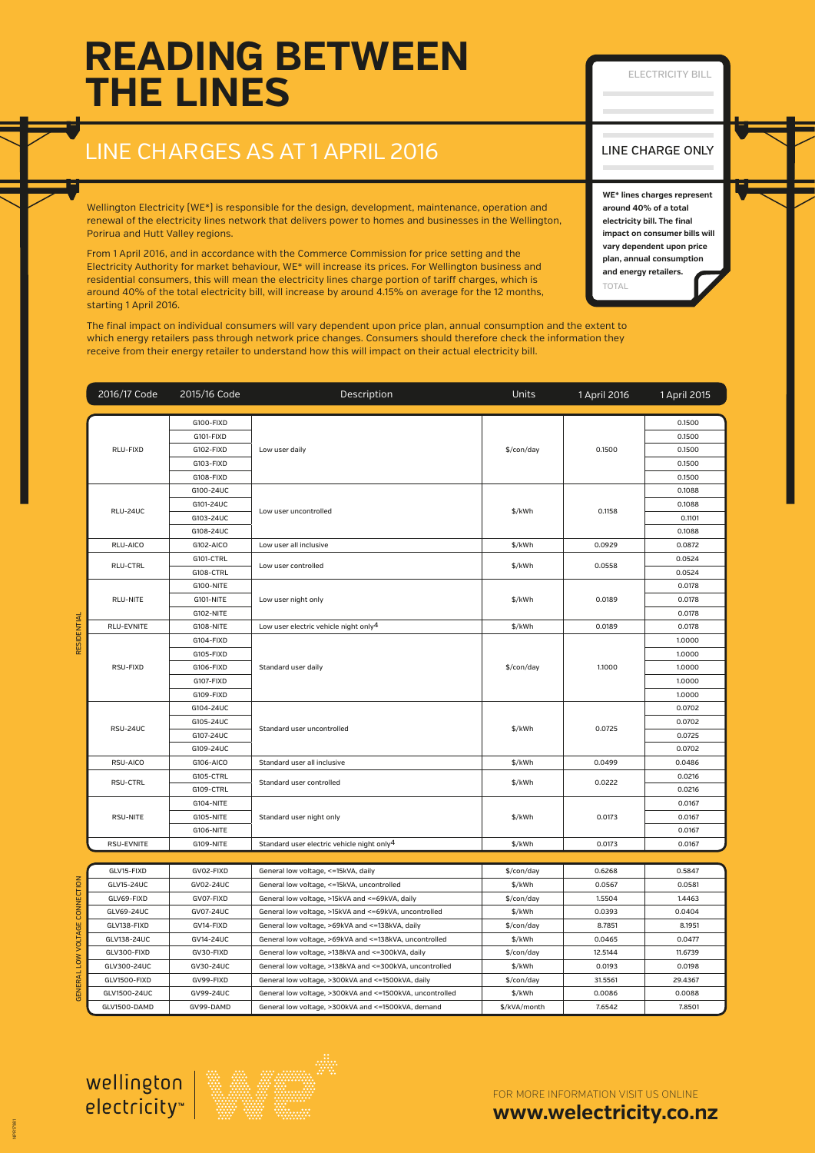# **READING BETWEEN THE LINES**

#### ELECTRICITY BILL

### LINE CHARGES AS AT 1 APRIL 2016

Wellington Electricity (WE\*) is responsible for the design, development, maintenance, operation and renewal of the electricity lines network that delivers power to homes and businesses in the Wellington, Porirua and Hutt Valley regions.

From 1 April 2016, and in accordance with the Commerce Commission for price setting and the Electricity Authority for market behaviour, WE\* will increase its prices. For Wellington business and residential consumers, this will mean the electricity lines charge portion of tariff charges, which is around 40% of the total electricity bill, will increase by around 4.15% on average for the 12 months, starting 1 April 2016.

The final impact on individual consumers will vary dependent upon price plan, annual consumption and the extent to which energy retailers pass through network price changes. Consumers should therefore check the information they receive from their energy retailer to understand how this will impact on their actual electricity bill.

### LINE CHARGE ONLY

TOTAL **WE\* lines charges represent around 40% of a total electricity bill. The final impact on consumer bills will vary dependent upon price plan, annual consumption and energy retailers.**

|                           | 2016/17 Code    | 2015/16 Code | Description                                               | Units        | 1 April 2016 | 1 April 2015 |
|---------------------------|-----------------|--------------|-----------------------------------------------------------|--------------|--------------|--------------|
|                           | RLU-FIXD        | G100-FIXD    | Low user daily                                            | \$/con/day   | 0.1500       | 0.1500       |
|                           |                 | G101-FIXD    |                                                           |              |              | 0.1500       |
|                           |                 | G102-FIXD    |                                                           |              |              | 0.1500       |
|                           |                 | G103-FIXD    |                                                           |              |              | 0.1500       |
|                           |                 | G108-FIXD    |                                                           |              |              | 0.1500       |
|                           | <b>RLU-24UC</b> | G100-24UC    | Low user uncontrolled                                     | \$/kWh       | 0.1158       | 0.1088       |
|                           |                 | G101-24UC    |                                                           |              |              | 0.1088       |
|                           |                 | G103-24UC    |                                                           |              |              | 0.1101       |
|                           |                 | G108-24UC    |                                                           |              |              | 0.1088       |
|                           | RLU-AICO        | G102-AICO    | Low user all inclusive                                    | \$/kWh       | 0.0929       | 0.0872       |
|                           | RLU-CTRL        | G101-CTRL    | Low user controlled                                       | \$/kWh       | 0.0558       | 0.0524       |
|                           |                 | G108-CTRL    |                                                           |              |              | 0.0524       |
|                           | RLU-NITE        | G100-NITE    | Low user night only                                       | \$/kWh       | 0.0189       | 0.0178       |
|                           |                 | G101-NITE    |                                                           |              |              | 0.0178       |
|                           |                 | G102-NITE    |                                                           |              |              | 0.0178       |
| RESIDENTIAL               | RLU-EVNITE      | G108-NITE    | Low user electric vehicle night only <sup>4</sup>         | \$/kWh       | 0.0189       | 0.0178       |
|                           |                 | G104-FIXD    | Standard user daily                                       | \$/con/day   | 1.1000       | 1.0000       |
|                           |                 | G105-FIXD    |                                                           |              |              | 1.0000       |
|                           | RSU-FIXD        | G106-FIXD    |                                                           |              |              | 1.0000       |
|                           |                 | G107-FIXD    |                                                           |              |              | 1.0000       |
|                           |                 | G109-FIXD    |                                                           |              |              | 1.0000       |
|                           | RSU-24UC        | G104-24UC    | Standard user uncontrolled                                | \$/kWh       | 0.0725       | 0.0702       |
|                           |                 | G105-24UC    |                                                           |              |              | 0.0702       |
|                           |                 | G107-24UC    |                                                           |              |              | 0.0725       |
|                           |                 | G109-24UC    |                                                           |              |              | 0.0702       |
|                           | RSU-AICO        | G106-AICO    | Standard user all inclusive                               | \$/kWh       | 0.0499       | 0.0486       |
|                           | <b>RSU-CTRL</b> | G105-CTRL    | Standard user controlled                                  | \$/kWh       | 0.0222       | 0.0216       |
|                           |                 | G109-CTRL    |                                                           |              |              | 0.0216       |
|                           | RSU-NITE        | G104-NITE    | Standard user night only                                  | \$/kWh       | 0.0173       | 0.0167       |
|                           |                 | G105-NITE    |                                                           |              |              | 0.0167       |
|                           |                 | G106-NITE    |                                                           |              |              | 0.0167       |
|                           | RSU-EVNITE      | G109-NITE    | Standard user electric vehicle night only <sup>4</sup>    | \$/kWh       | 0.0173       | 0.0167       |
|                           |                 |              |                                                           |              |              |              |
|                           | GLV15-FIXD      | GV02-FIXD    | General low voltage, <= 15kVA, daily                      | \$/con/day   | 0.6268       | 0.5847       |
|                           | GLV15-24UC      | GV02-24UC    | General low voltage, <= 15kVA, uncontrolled               | \$/kWh       | 0.0567       | 0.0581       |
|                           | GLV69-FIXD      | GV07-FIXD    | General low voltage, >15kVA and <= 69kVA, daily           | \$/con/day   | 1.5504       | 1.4463       |
| <b>VOLTAGE CONNECTION</b> | GLV69-24UC      | GV07-24UC    | General low voltage, >15kVA and <= 69kVA, uncontrolled    | \$/kWh       | 0.0393       | 0.0404       |
|                           | GLV138-FIXD     | GV14-FIXD    | General low voltage, >69kVA and <= 138kVA, daily          | \$/con/day   | 8.7851       | 8.1951       |
|                           | GLV138-24UC     | GV14-24UC    | General low voltage, >69kVA and <= 138kVA, uncontrolled   | \$/kWh       | 0.0465       | 0.0477       |
|                           | GLV300-FIXD     | GV30-FIXD    | General low voltage, >138kVA and <= 300kVA, daily         | \$/con/day   | 12.5144      | 11.6739      |
| <b>GENERAL LOW</b>        | GLV300-24UC     | GV30-24UC    | General low voltage, >138kVA and <= 300kVA, uncontrolled  | \$/kWh       | 0.0193       | 0.0198       |
|                           | GLV1500-FIXD    | GV99-FIXD    | General low voltage, >300kVA and <= 1500kVA, daily        | \$/con/day   | 31.5561      | 29.4367      |
|                           | GLV1500-24UC    | GV99-24UC    | General low voltage, >300kVA and <= 1500kVA, uncontrolled | \$/kWh       | 0.0086       | 0.0088       |
|                           | GLV1500-DAMD    | GV99-DAMD    | General low voltage, >300kVA and <= 1500kVA, demand       | \$/kVA/month | 7.6542       | 7.8501       |



wellington electricity<sup>\*</sup>



FOR MORE INFORMATION VISIT US ONLINE

**<www.welectricity.co.nz>**